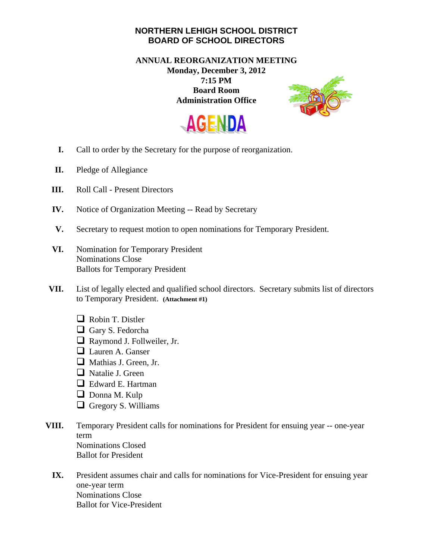## **NORTHERN LEHIGH SCHOOL DISTRICT BOARD OF SCHOOL DIRECTORS**

## **ANNUAL REORGANIZATION MEETING Monday, December 3, 2012 7:15 PM Board Room Administration Office**





- **I.** Call to order by the Secretary for the purpose of reorganization.
- **II.** Pledge of Allegiance
- **III.** Roll Call Present Directors
- **IV.** Notice of Organization Meeting -- Read by Secretary
- **V.** Secretary to request motion to open nominations for Temporary President.
- **VI.** Nomination for Temporary President Nominations Close Ballots for Temporary President
- **VII.** List of legally elected and qualified school directors. Secretary submits list of directors to Temporary President. **(Attachment #1)** 
	- Robin T. Distler
	- Gary S. Fedorcha
	- Raymond J. Follweiler, Jr.
	- **Lauren A. Ganser**
	- Mathias J. Green, Jr.
	- □ Natalie J. Green
	- Edward E. Hartman
	- Donna M. Kulp
	- $\Box$  Gregory S. Williams
- **VIII.** Temporary President calls for nominations for President for ensuing year -- one-year term Nominations Closed Ballot for President
	- **IX.** President assumes chair and calls for nominations for Vice-President for ensuing year one-year term Nominations Close Ballot for Vice-President